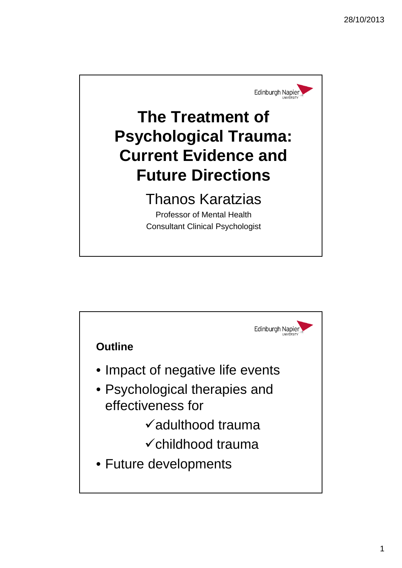

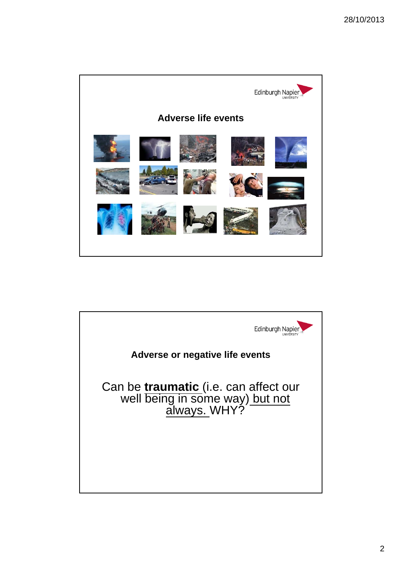

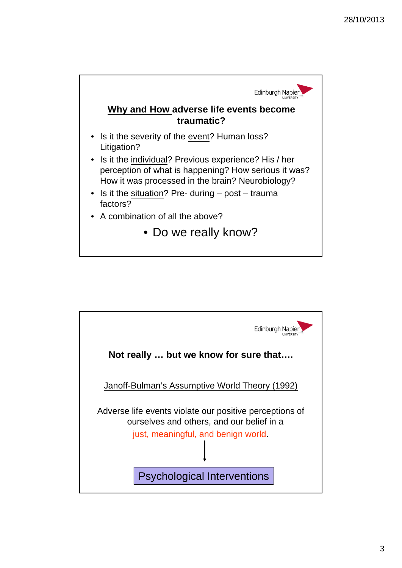

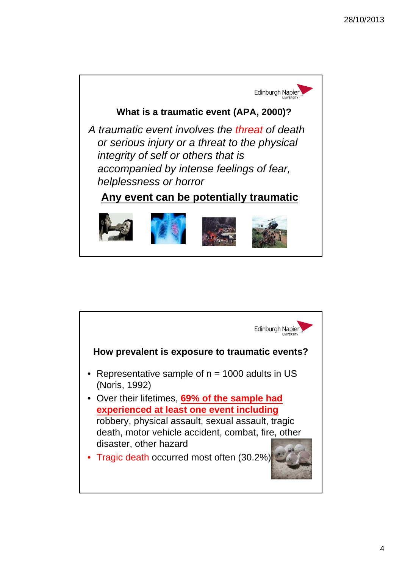

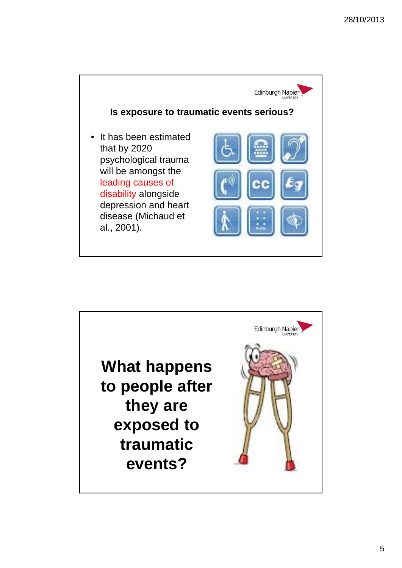

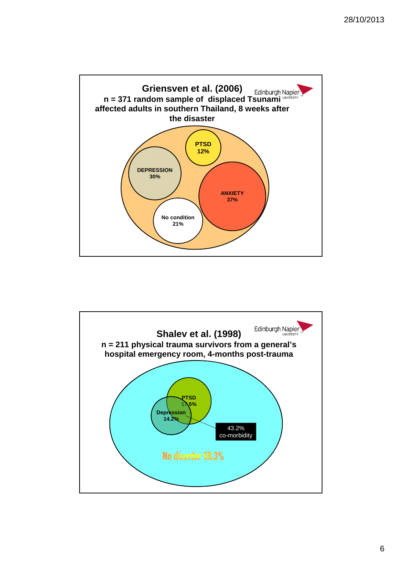

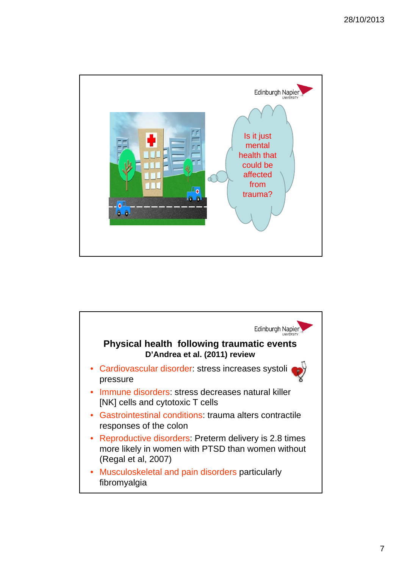

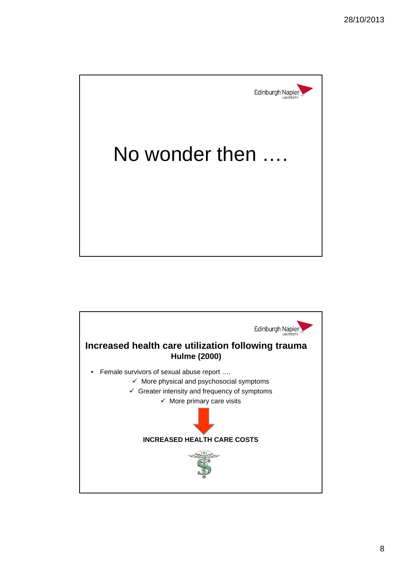

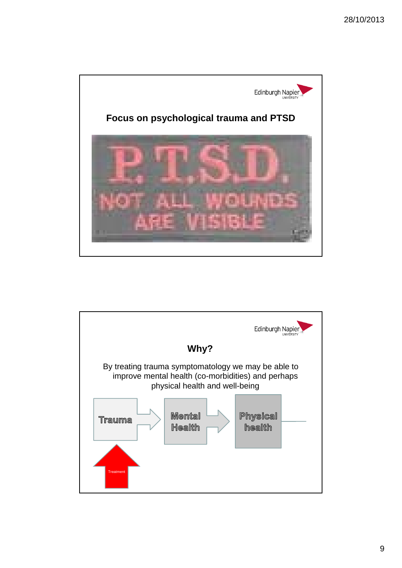

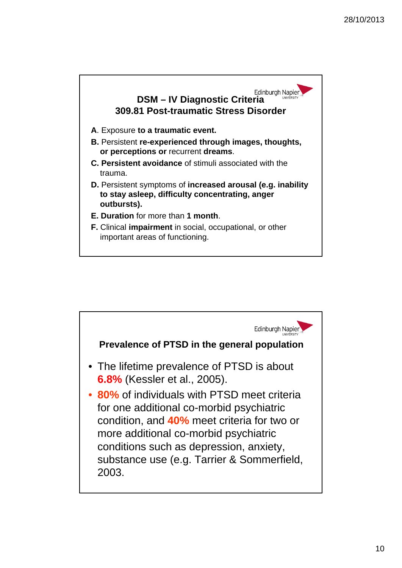

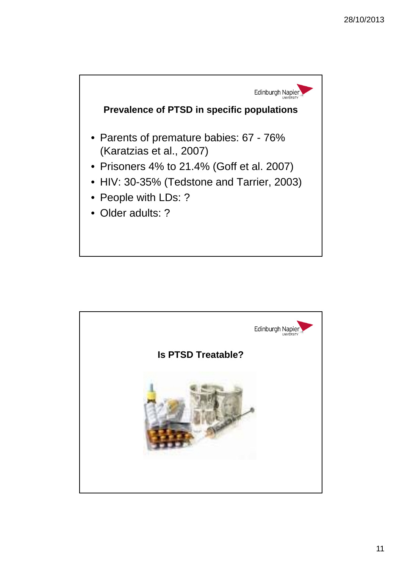

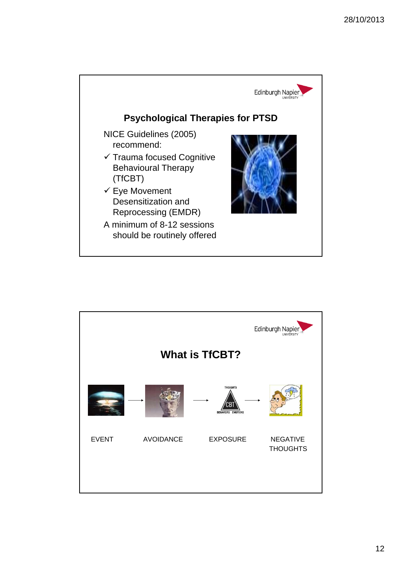

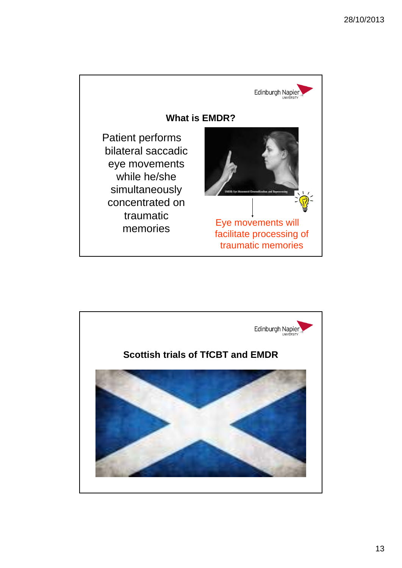

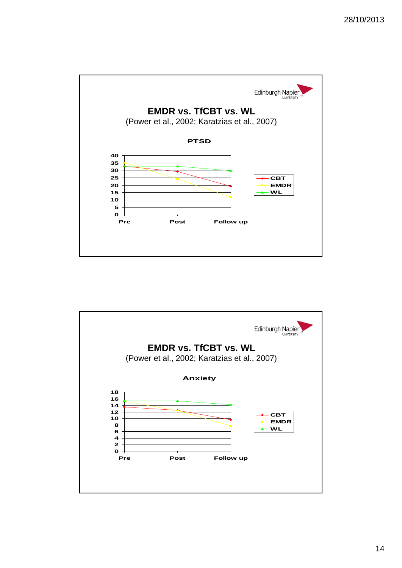

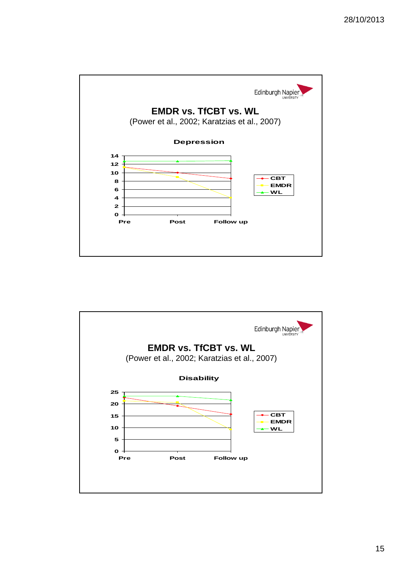

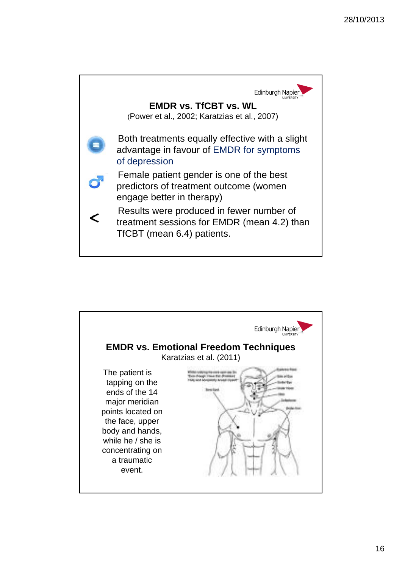

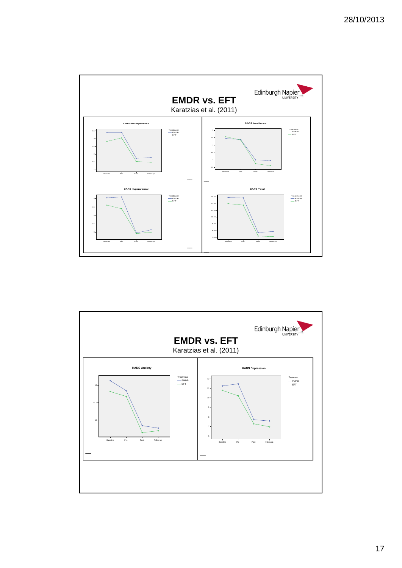

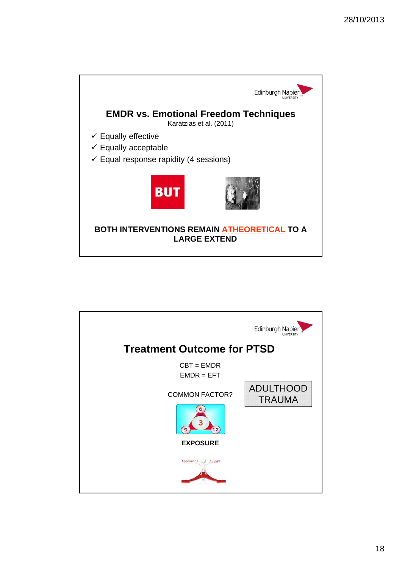

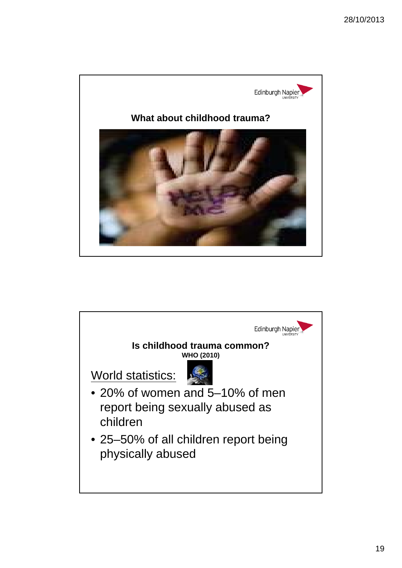

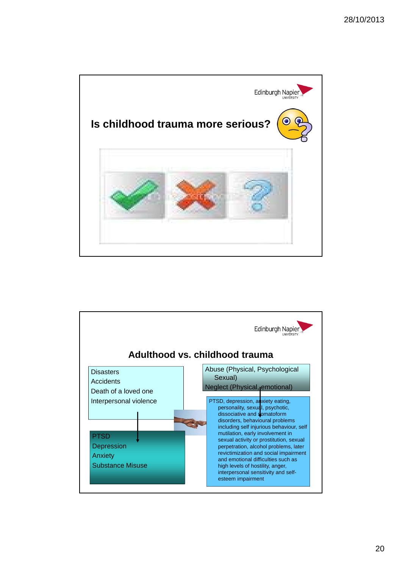

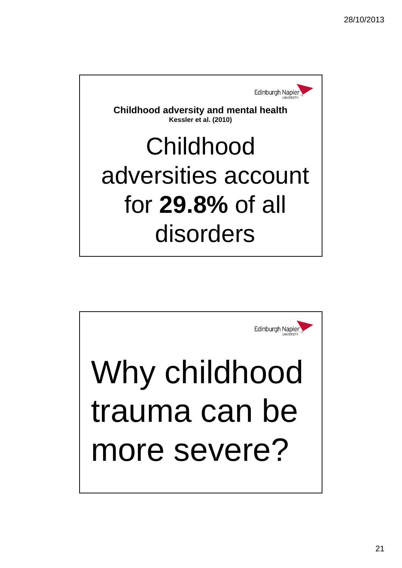

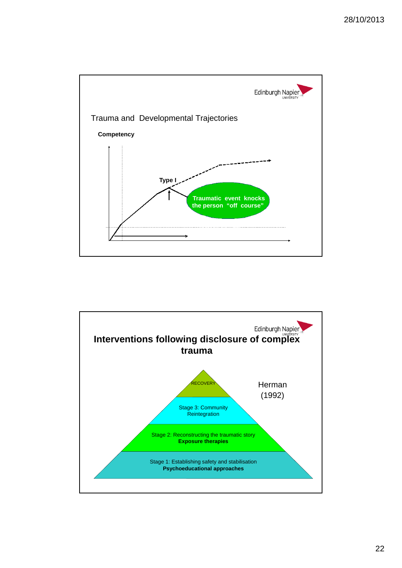

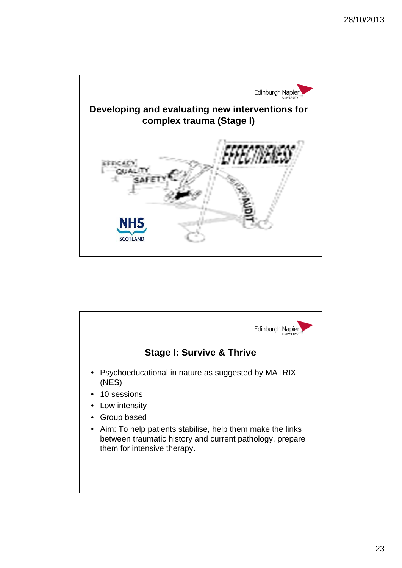

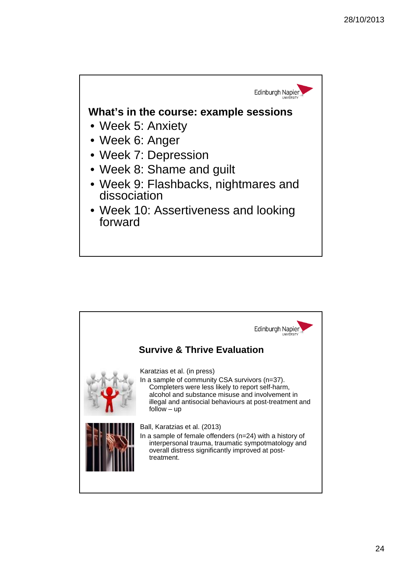

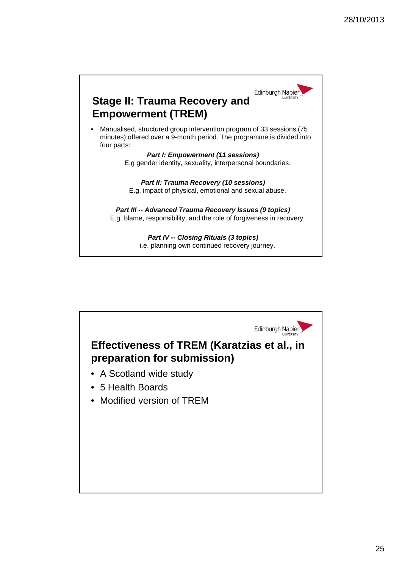

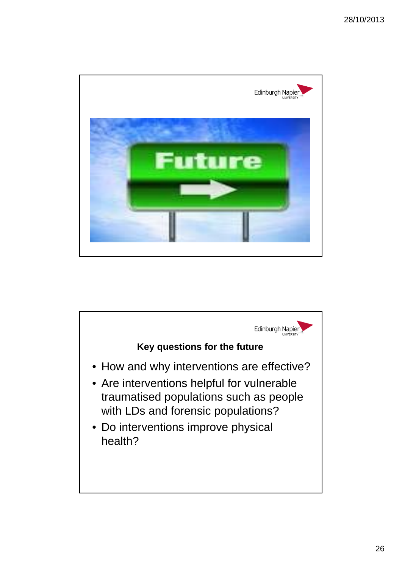

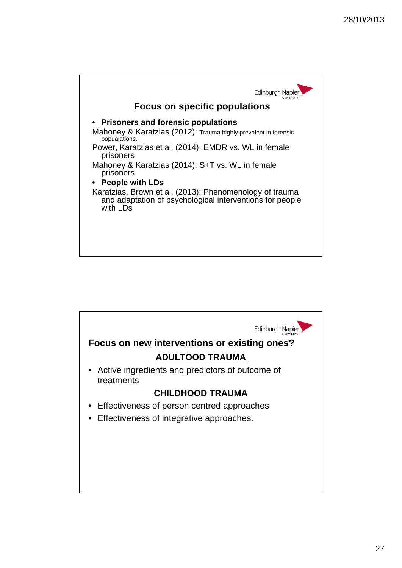

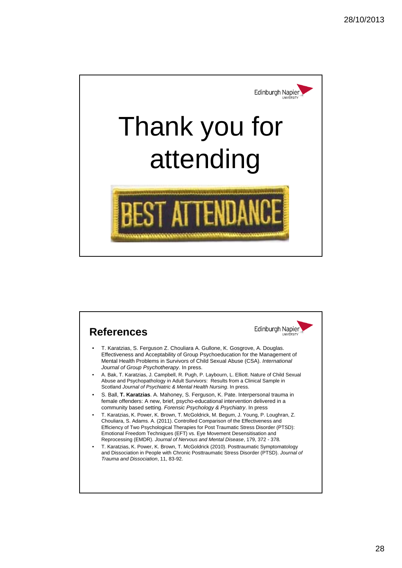